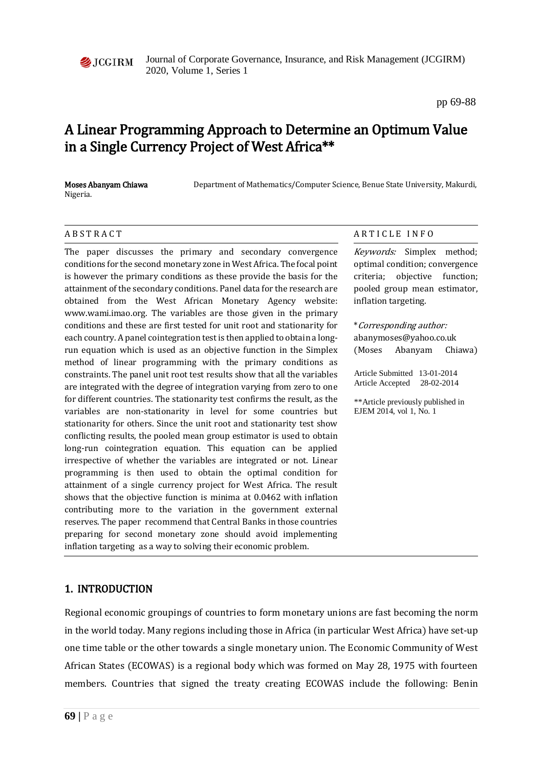

Journal of Corporate Governance, Insurance, and Risk Management (JCGIRM) 2020, Volume 1, Series 1

pp 69-88

# A Linear Programming Approach to Determine an Optimum Value in a Single Currency Project of West Africa\*\*

| Moses Abanyam Chiawa |  |
|----------------------|--|
| Nigeria.             |  |

Department of Mathematics/Computer Science, Benue State University, Makurdi,

The paper discusses the primary and secondary convergence conditions for the second monetary zone in West Africa. The focal point is however the primary conditions as these provide the basis for the attainment of the secondary conditions. Panel data for the research are obtained from the West African Monetary Agency website: www.wami.imao.org. The variables are those given in the primary conditions and these are first tested for unit root and stationarity for each country. A panel cointegration test is then applied to obtain a longrun equation which is used as an objective function in the Simplex method of linear programming with the primary conditions as constraints. The panel unit root test results show that all the variables are integrated with the degree of integration varying from zero to one for different countries. The stationarity test confirms the result, as the variables are non-stationarity in level for some countries but stationarity for others. Since the unit root and stationarity test show conflicting results, the pooled mean group estimator is used to obtain long-run cointegration equation. This equation can be applied irrespective of whether the variables are integrated or not. Linear programming is then used to obtain the optimal condition for attainment of a single currency project for West Africa. The result shows that the objective function is minima at 0.0462 with inflation contributing more to the variation in the government external reserves. The paper recommend that Central Banks in those countries preparing for second monetary zone should avoid implementing inflation targeting as a way to solving their economic problem.

#### A B S T R A C T A R T I C L E I N F O

Keywords: Simplex method; optimal condition; convergence criteria; objective function; pooled group mean estimator, inflation targeting.

\*Corresponding author: abanymoses@yahoo.co.uk (Moses Abanyam Chiawa)

Article Submitted 13-01-2014 Article Accepted 28-02-2014

\*\*Article previously published in EJEM 2014, vol 1, No. 1

# 1. INTRODUCTION

Regional economic groupings of countries to form monetary unions are fast becoming the norm in the world today. Many regions including those in Africa (in particular West Africa) have set-up one time table or the other towards a single monetary union. The Economic Community of West African States (ECOWAS) is a regional body which was formed on May 28, 1975 with fourteen members. Countries that signed the treaty creating ECOWAS include the following: Benin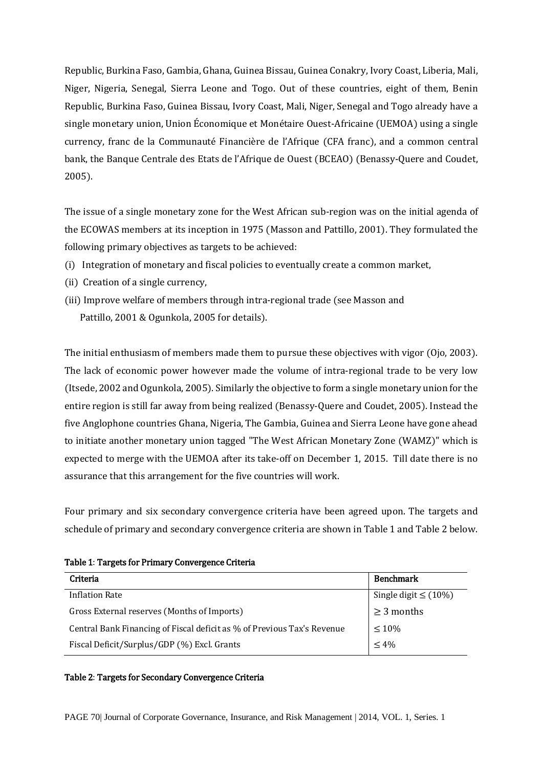Republic, Burkina Faso, Gambia, Ghana, Guinea Bissau, Guinea Conakry, Ivory Coast, Liberia, Mali, Niger, Nigeria, Senegal, Sierra Leone and Togo. Out of these countries, eight of them, Benin Republic, Burkina Faso, Guinea Bissau, Ivory Coast, Mali, Niger, Senegal and Togo already have a single monetary union, Union Économique et Monétaire Ouest-Africaine (UEMOA) using a single currency, franc de la Communauté Financière de l'Afrique (CFA franc), and a common central bank, the Banque Centrale des Etats de l'Afrique de Ouest (BCEAO) (Benassy-Quere and Coudet, 2005).

The issue of a single monetary zone for the West African sub-region was on the initial agenda of the ECOWAS members at its inception in 1975 (Masson and Pattillo, 2001). They formulated the following primary objectives as targets to be achieved:

- (i) Integration of monetary and fiscal policies to eventually create a common market,
- (ii) Creation of a single currency,
- (iii) Improve welfare of members through intra-regional trade (see Masson and Pattillo, 2001 & Ogunkola, 2005 for details).

The initial enthusiasm of members made them to pursue these objectives with vigor (Ojo, 2003). The lack of economic power however made the volume of intra-regional trade to be very low (Itsede, 2002 and Ogunkola, 2005). Similarly the objective to form a single monetary union for the entire region is still far away from being realized (Benassy-Quere and Coudet, 2005). Instead the five Anglophone countries Ghana, Nigeria, The Gambia, Guinea and Sierra Leone have gone ahead to initiate another monetary union tagged "The West African Monetary Zone (WAMZ)" which is expected to merge with the UEMOA after its take-off on December 1, 2015. Till date there is no assurance that this arrangement for the five countries will work.

Four primary and six secondary convergence criteria have been agreed upon. The targets and schedule of primary and secondary convergence criteria are shown in Table 1 and Table 2 below.

| Criteria                                                                | <b>Benchmark</b>                             |
|-------------------------------------------------------------------------|----------------------------------------------|
| <b>Inflation Rate</b>                                                   | Single digit $\leq$ (10%)<br>$\geq$ 3 months |
| Gross External reserves (Months of Imports)                             |                                              |
| Central Bank Financing of Fiscal deficit as % of Previous Tax's Revenue | $\leq 10\%$                                  |
| Fiscal Deficit/Surplus/GDP (%) Excl. Grants                             | $\leq 4\%$                                   |

# Table 1: Targets for Primary Convergence Criteria

# Table 2: Targets for Secondary Convergence Criteria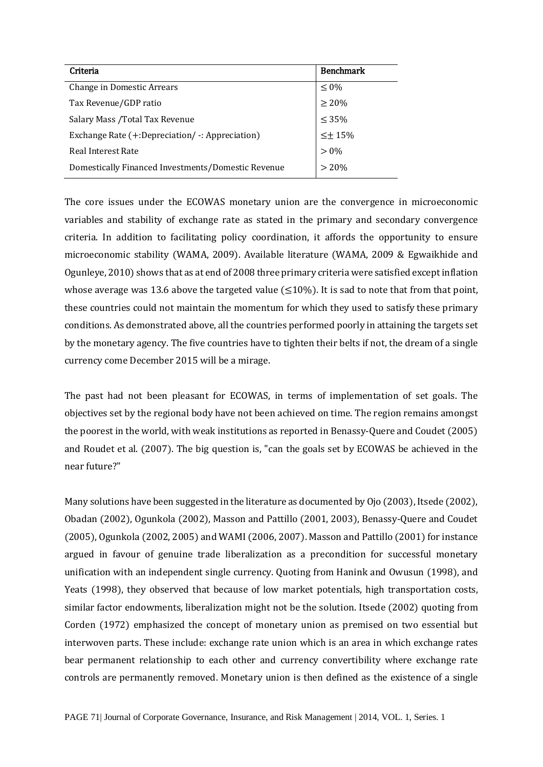| Criteria                                           | <b>Benchmark</b> |
|----------------------------------------------------|------------------|
| Change in Domestic Arrears                         | $\leq 0\%$       |
| Tax Revenue/GDP ratio                              | $\geq 20\%$      |
| Salary Mass /Total Tax Revenue                     | $\leq 35\%$      |
| Exchange Rate (+:Depreciation/ -: Appreciation)    | $\leq\pm$ 15%    |
| Real Interest Rate                                 | $> 0\%$          |
| Domestically Financed Investments/Domestic Revenue | > 20%            |

The core issues under the ECOWAS monetary union are the convergence in microeconomic variables and stability of exchange rate as stated in the primary and secondary convergence criteria. In addition to facilitating policy coordination, it affords the opportunity to ensure microeconomic stability (WAMA, 2009). Available literature (WAMA, 2009 & Egwaikhide and Ogunleye, 2010) shows that as at end of 2008 three primary criteria were satisfied except inflation whose average was 13.6 above the targeted value ( $\leq$ 10%). It is sad to note that from that point, these countries could not maintain the momentum for which they used to satisfy these primary conditions. As demonstrated above, all the countries performed poorly in attaining the targets set by the monetary agency. The five countries have to tighten their belts if not, the dream of a single currency come December 2015 will be a mirage.

The past had not been pleasant for ECOWAS, in terms of implementation of set goals. The objectives set by the regional body have not been achieved on time. The region remains amongst the poorest in the world, with weak institutions as reported in Benassy-Quere and Coudet (2005) and Roudet et al. (2007). The big question is, "can the goals set by ECOWAS be achieved in the near future?"

Many solutions have been suggested in the literature as documented by Ojo (2003), Itsede (2002), Obadan (2002), Ogunkola (2002), Masson and Pattillo (2001, 2003), Benassy-Quere and Coudet (2005), Ogunkola (2002, 2005) and WAMI (2006, 2007). Masson and Pattillo (2001) for instance argued in favour of genuine trade liberalization as a precondition for successful monetary unification with an independent single currency. Quoting from Hanink and Owusun (1998), and Yeats (1998), they observed that because of low market potentials, high transportation costs, similar factor endowments, liberalization might not be the solution. Itsede (2002) quoting from Corden (1972) emphasized the concept of monetary union as premised on two essential but interwoven parts. These include: exchange rate union which is an area in which exchange rates bear permanent relationship to each other and currency convertibility where exchange rate controls are permanently removed. Monetary union is then defined as the existence of a single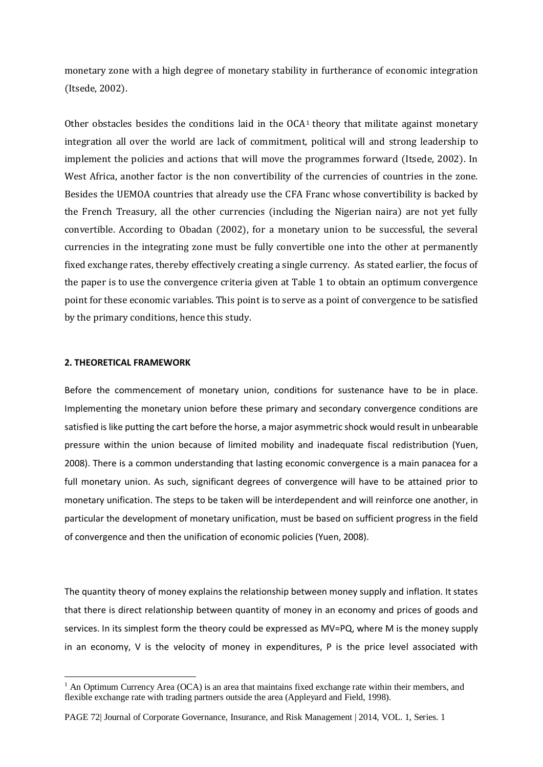monetary zone with a high degree of monetary stability in furtherance of economic integration (Itsede, 2002).

Other obstacles besides the conditions laid in the  $OCA<sup>1</sup>$  $OCA<sup>1</sup>$  $OCA<sup>1</sup>$  theory that militate against monetary integration all over the world are lack of commitment, political will and strong leadership to implement the policies and actions that will move the programmes forward (Itsede, 2002). In West Africa, another factor is the non convertibility of the currencies of countries in the zone. Besides the UEMOA countries that already use the CFA Franc whose convertibility is backed by the French Treasury, all the other currencies (including the Nigerian naira) are not yet fully convertible. According to Obadan (2002), for a monetary union to be successful, the several currencies in the integrating zone must be fully convertible one into the other at permanently fixed exchange rates, thereby effectively creating a single currency. As stated earlier, the focus of the paper is to use the convergence criteria given at Table 1 to obtain an optimum convergence point for these economic variables. This point is to serve as a point of convergence to be satisfied by the primary conditions, hence this study.

#### **2. THEORETICAL FRAMEWORK**

 $\overline{a}$ 

Before the commencement of monetary union, conditions for sustenance have to be in place. Implementing the monetary union before these primary and secondary convergence conditions are satisfied is like putting the cart before the horse, a major asymmetric shock would result in unbearable pressure within the union because of limited mobility and inadequate fiscal redistribution (Yuen, 2008). There is a common understanding that lasting economic convergence is a main panacea for a full monetary union. As such, significant degrees of convergence will have to be attained prior to monetary unification. The steps to be taken will be interdependent and will reinforce one another, in particular the development of monetary unification, must be based on sufficient progress in the field of convergence and then the unification of economic policies (Yuen, 2008).

The quantity theory of money explains the relationship between money supply and inflation. It states that there is direct relationship between quantity of money in an economy and prices of goods and services. In its simplest form the theory could be expressed as MV=PQ, where M is the money supply in an economy, V is the velocity of money in expenditures, P is the price level associated with

<span id="page-3-0"></span> $<sup>1</sup>$  An Optimum Currency Area (OCA) is an area that maintains fixed exchange rate within their members, and</sup> flexible exchange rate with trading partners outside the area (Appleyard and Field, 1998).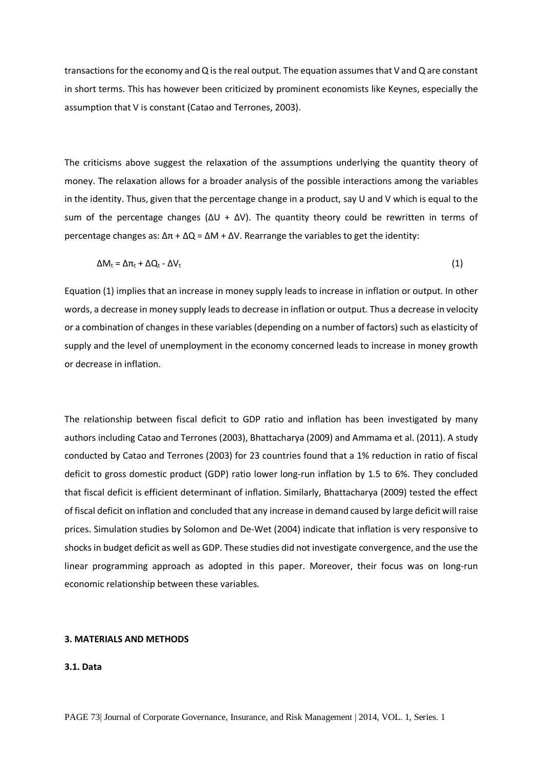transactions for the economy and Q is the real output. The equation assumes that V and Q are constant in short terms. This has however been criticized by prominent economists like Keynes, especially the assumption that V is constant (Catao and Terrones, 2003).

The criticisms above suggest the relaxation of the assumptions underlying the quantity theory of money. The relaxation allows for a broader analysis of the possible interactions among the variables in the identity. Thus, given that the percentage change in a product, say U and V which is equal to the sum of the percentage changes ( $\Delta U + \Delta V$ ). The quantity theory could be rewritten in terms of percentage changes as: Δπ + ΔQ = ΔM + ΔV. Rearrange the variables to get the identity:

$$
\Delta M_t = \Delta \pi_t + \Delta Q_t - \Delta V_t \tag{1}
$$

Equation (1) implies that an increase in money supply leads to increase in inflation or output. In other words, a decrease in money supply leads to decrease in inflation or output. Thus a decrease in velocity or a combination of changes in these variables (depending on a number of factors) such as elasticity of supply and the level of unemployment in the economy concerned leads to increase in money growth or decrease in inflation.

The relationship between fiscal deficit to GDP ratio and inflation has been investigated by many authors including Catao and Terrones (2003), Bhattacharya (2009) and Ammama et al. (2011). A study conducted by Catao and Terrones (2003) for 23 countries found that a 1% reduction in ratio of fiscal deficit to gross domestic product (GDP) ratio lower long-run inflation by 1.5 to 6%. They concluded that fiscal deficit is efficient determinant of inflation. Similarly, Bhattacharya (2009) tested the effect of fiscal deficit on inflation and concluded that any increase in demand caused by large deficit will raise prices. Simulation studies by Solomon and De-Wet (2004) indicate that inflation is very responsive to shocks in budget deficit as well as GDP. These studies did not investigate convergence, and the use the linear programming approach as adopted in this paper. Moreover, their focus was on long-run economic relationship between these variables.

#### **3. MATERIALS AND METHODS**

#### **3.1. Data**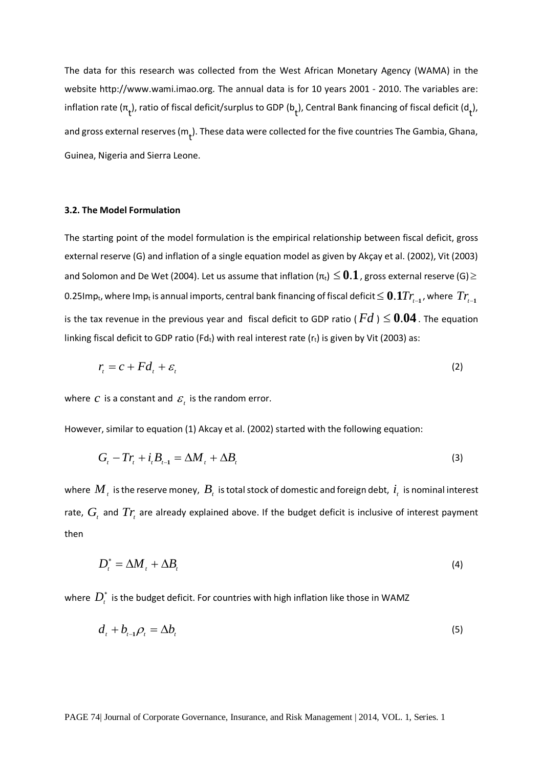The data for this research was collected from the West African Monetary Agency (WAMA) in the website http://www.wami.imao.org. The annual data is for 10 years 2001 - 2010. The variables are: inflation rate ( $\pi_t$ ), ratio of fiscal deficit/surplus to GDP (b<sub>t</sub>), Central Bank financing of fiscal deficit (d<sub>t</sub>), and gross external reserves (m<sub>t</sub>). These data were collected for the five countries The Gambia, Ghana, Guinea, Nigeria and Sierra Leone.

#### **3.2. The Model Formulation**

The starting point of the model formulation is the empirical relationship between fiscal deficit, gross external reserve (G) and inflation of a single equation model as given by Akçay et al. (2002), Vit (2003) and Solomon and De Wet (2004). Let us assume that inflation ( $\pi_t$ )  $\leq 0.1$ , gross external reserve (G)  $\geq$ 0.25Imp<sub>t</sub>, where Imp<sub>t</sub> is annual imports, central bank financing of fiscal deficit ≤  $0.1Tr_{t-1}$ , where  $Tr_{t-1}$ is the tax revenue in the previous year and fiscal deficit to GDP ratio ( $Fd$ )  $\leq 0.04$ . The equation linking fiscal deficit to GDP ratio (Fdt) with real interest rate  $(r_t)$  is given by Vit (2003) as:

$$
r_{i} = c + Fd_{i} + \varepsilon_{i} \tag{2}
$$

where  $c$  is a constant and  $\varepsilon$ <sub>t</sub> is the random error.

However, similar to equation (1) Akcay et al. (2002) started with the following equation:

$$
G_{t} - Tr_{t} + i_{t}B_{t-1} = \Delta M_{t} + \Delta B_{t}
$$
\n<sup>(3)</sup>

where  $M_t$  is the reserve money,  $B_t$  is total stock of domestic and foreign debt,  $i_t$  is nominal interest rate,  $G_t$  and  $Tr_t$  are already explained above. If the budget deficit is inclusive of interest payment then

$$
D_t^* = \Delta M_t + \Delta B_t \tag{4}
$$

where  $D_t^*$  is the budget deficit. For countries with high inflation like those in WAMZ

$$
d_t + b_{t-1} \rho_t = \Delta b_t \tag{5}
$$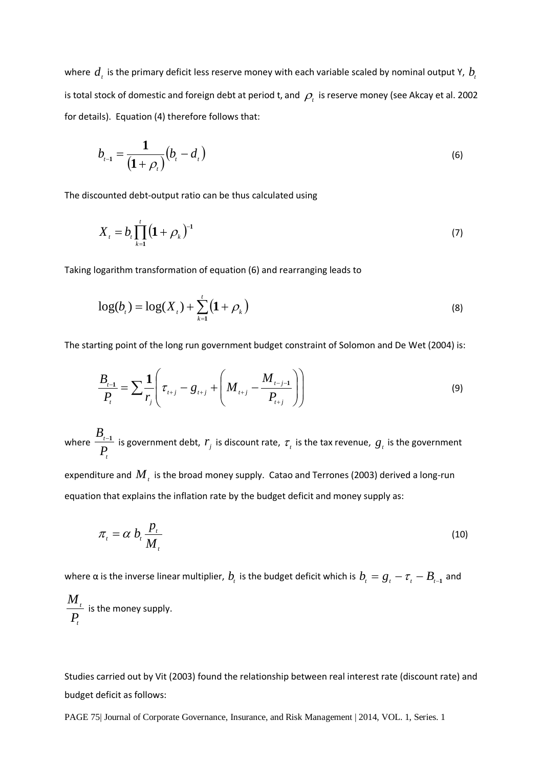where  $d_t$  is the primary deficit less reserve money with each variable scaled by nominal output Y,  $b_t$ is total stock of domestic and foreign debt at period t, and  $\rho$ , is reserve money (see Akcay et al. 2002 for details). Equation (4) therefore follows that:

$$
b_{t-1} = \frac{1}{(1+\rho_t)} (b_t - d_t)
$$
 (6)

The discounted debt-output ratio can be thus calculated using

$$
X_{t} = b_{t} \prod_{k=1}^{t} (1 + \rho_{k})^{-1}
$$
 (7)

Taking logarithm transformation of equation (6) and rearranging leads to

$$
\log(b_{t}) = \log(X_{t}) + \sum_{k=1}^{t} (1 + \rho_{k})
$$
\n(8)

The starting point of the long run government budget constraint of Solomon and De Wet (2004) is:

$$
\frac{B_{t-1}}{P_t} = \sum \frac{1}{r_j} \left( \tau_{t+j} - g_{t+j} + \left( M_{t+j} - \frac{M_{t-j-1}}{P_{t+j}} \right) \right)
$$
(9)

where *t t P*  $\frac{B_{t-1}}{B}$  is government debt,  $r_j$  is discount rate,  $\tau_i$  is the tax revenue,  $g_i$  is the government

expenditure and  $M_{\overline{t}}$  is the broad money supply. Catao and Terrones (2003) derived a long-run equation that explains the inflation rate by the budget deficit and money supply as:

$$
\pi_t = \alpha b_t \frac{p_t}{M_t} \tag{10}
$$

where  $\alpha$  is the inverse linear multiplier,  $b_t$  is the budget deficit which is  $b_t = g_t - \tau_t - B_{t-1}$  and

$$
\frac{M_{t}}{P_{t}}
$$
 is the money supply.

Studies carried out by Vit (2003) found the relationship between real interest rate (discount rate) and budget deficit as follows:

PAGE 75| Journal of Corporate Governance, Insurance, and Risk Management | 2014, VOL. 1, Series. 1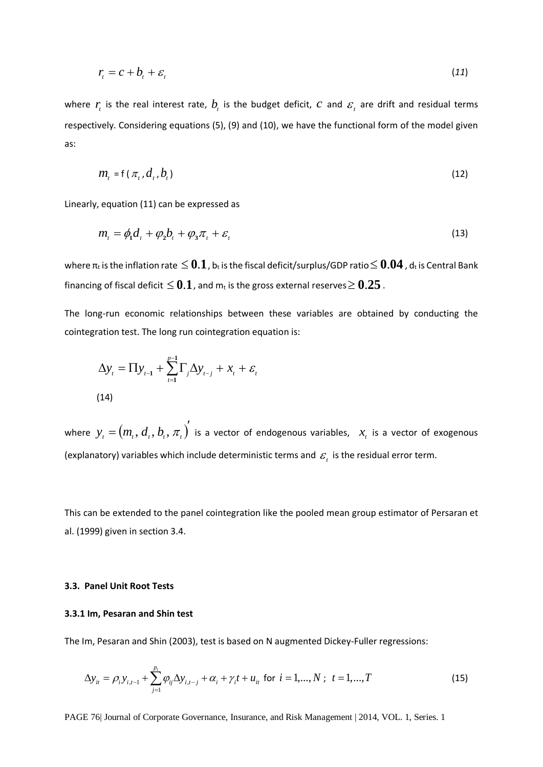$$
r_i = c + b_i + \varepsilon_i \tag{11}
$$

where  $r<sub>i</sub>$  is the real interest rate,  $b<sub>i</sub>$  is the budget deficit,  $c$  and  $\varepsilon<sub>i</sub>$  are drift and residual terms respectively. Considering equations (5), (9) and (10), we have the functional form of the model given as:

$$
m_{t} = f(\pi_{t}, d_{t}, b_{t})
$$
\n<sup>(12)</sup>

Linearly, equation (11) can be expressed as

$$
m_{t} = \phi_{1}d_{t} + \phi_{2}b_{t} + \phi_{3}\pi_{t} + \varepsilon_{t}
$$
\n(13)

where  $\pi_t$  is the inflation rate  $\leq 0.1$  , b<sub>t</sub> is the fiscal deficit/surplus/GDP ratio  $\leq 0.04$  , d<sub>t</sub> is Central Bank financing of fiscal deficit  $\leq 0.1$  , and  $m_t$  is the gross external reserves  $\geq 0.25$  .

The long-run economic relationships between these variables are obtained by conducting the cointegration test. The long run cointegration equation is:

$$
\Delta y_t = \Pi y_{t-1} + \sum_{t=1}^{p-1} \Gamma_j \Delta y_{t-j} + x_t + \varepsilon_t
$$
\n(14)

where  $y_t = (m_t, d_t, b_t, \pi_t)^t$  is a vector of endogenous variables,  $x_t$  is a vector of exogenous (explanatory) variables which include deterministic terms and  $\varepsilon$ , is the residual error term.

This can be extended to the panel cointegration like the pooled mean group estimator of Persaran et al. (1999) given in section 3.4.

#### **3.3. Panel Unit Root Tests**

#### **3.3.1 Im, Pesaran and Shin test**

The Im, Pesaran and Shin (2003), test is based on N augmented Dickey-Fuller regressions:

$$
\Delta y_{it} = \rho_i y_{i,t-1} + \sum_{j=1}^{p_i} \varphi_{ij} \Delta y_{i,t-j} + \alpha_i + \gamma_i t + u_{it} \text{ for } i = 1,...,N; \ t = 1,...,T
$$
 (15)

PAGE 76| Journal of Corporate Governance, Insurance, and Risk Management | 2014, VOL. 1, Series. 1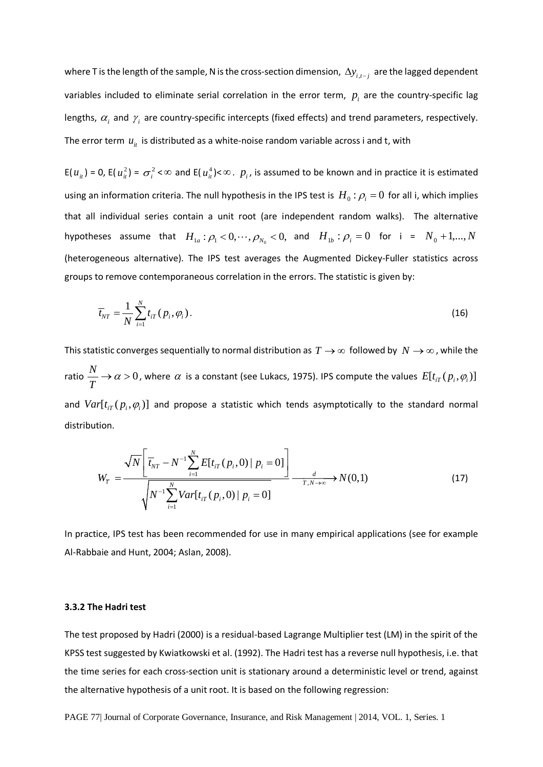where T is the length of the sample, N is the cross-section dimension,  $\Delta y_{i,t-j}$  are the lagged dependent variables included to eliminate serial correlation in the error term,  $p_i$  are the country-specific lag lengths,  $\alpha_i$  and  $\gamma_i$  are country-specific intercepts (fixed effects) and trend parameters, respectively. The error term  $u_{it}$  is distributed as a white-noise random variable across i and t, with

 $E(u_{it}) = 0$ ,  $E(u_{it}^2) = \sigma_i^2 < \infty$  and  $E(u_{it}^4) < \infty$ .  $p_i$ , is assumed to be known and in practice it is estimated using an information criteria. The null hypothesis in the IPS test is  $H_0$ :  $\rho_i = 0$  for all i, which implies that all individual series contain a unit root (are independent random walks). The alternative hypotheses assume that  $H_{1a} : \rho_1 < 0, \dots, \rho_{N_a} < 0$ , and  $H_{1b} : \rho_i = 0$  for  $i = N_0 + 1, \dots, N$ (heterogeneous alternative). The IPS test averages the Augmented Dickey-Fuller statistics across groups to remove contemporaneous correlation in the errors. The statistic is given by:

$$
\overline{t}_{NT} = \frac{1}{N} \sum_{i=1}^{N} t_{iT} (p_i, \varphi_i).
$$
\n(16)

This statistic converges sequentially to normal distribution as  $T \to \infty$  followed by  $N \to \infty$ , while the ratio  $\frac{N}{\pi} \rightarrow \alpha > 0$  $\frac{dI}{d\Omega}$   $\rightarrow$   $\alpha$  > 0, where  $\alpha$  is a constant (see Lukacs, 1975). IPS compute the values  $E[t_{iT}(p_i, \varphi_i)]$ and  $Var[t_{iT}( p_i, \varphi_j)]$  and propose a statistic which tends asymptotically to the standard normal distribution.

$$
W_{\overline{t}} = \frac{\sqrt{N} \left[ \overline{t}_{NT} - N^{-1} \sum_{i=1}^{N} E[t_{iT}(p_i, 0) | p_i = 0] \right]}{\sqrt{N^{-1} \sum_{i=1}^{N} Var[t_{iT}(p_i, 0) | p_i = 0]} \frac{d}{T_{,N \to \infty}} N(0,1)}
$$
(17)

In practice, IPS test has been recommended for use in many empirical applications (see for example Al-Rabbaie and Hunt, 2004; Aslan, 2008).

#### **3.3.2 The Hadri test**

The test proposed by Hadri (2000) is a residual-based Lagrange Multiplier test (LM) in the spirit of the KPSS test suggested by Kwiatkowski et al. (1992). The Hadri test has a reverse null hypothesis, i.e. that the time series for each cross-section unit is stationary around a deterministic level or trend, against the alternative hypothesis of a unit root. It is based on the following regression:

PAGE 77| Journal of Corporate Governance, Insurance, and Risk Management | 2014, VOL. 1, Series. 1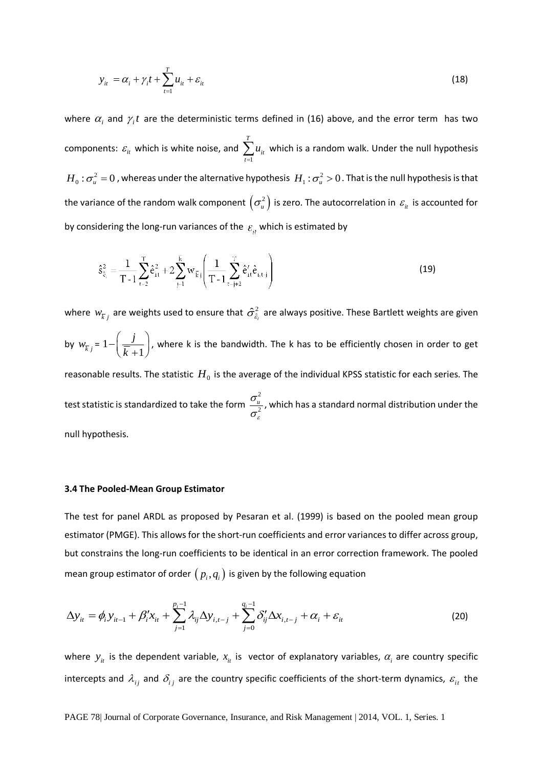$$
y_{it} = \alpha_i + \gamma_i t + \sum_{t=1}^{T} u_{it} + \varepsilon_{it}
$$
\n(18)

where  $\alpha_i$  and  $\gamma_i t$  are the deterministic terms defined in (16) above, and the error term has two components:  $\varepsilon_{it}$  which is white noise, and 1 *T it t u*  $\sum_{t=1} u_{it}$  which is a random walk. Under the null hypothesis  $H_0$  :  $\sigma_u^2$  =  $0$  , whereas under the alternative hypothesis  $\,H_1$  :  $\sigma_u^2$   $>$   $0$  . That is the null hypothesis is that the variance of the random walk component  $(\sigma_u^2)$  is zero. The autocorrelation in  $s_u$  is accounted for by considering the long-run variances of the  $\varepsilon_{it}$  which is estimated by

$$
\hat{s}_{\hat{e}_i}^2 = \frac{1}{T-1} \sum_{t=2}^T \hat{e}_{it}^2 + 2 \sum_{j=1}^{\bar{k}} w_{\bar{k}_j} \left( \frac{1}{T-1} \sum_{t=j+2}^T \hat{e}_{it}' \hat{e}_{i,t+j} \right)
$$
(19)

where  $w_{\overline{k}|j}$  are weights used to ensure that  $\hat{\sigma}^2_{\hat{\varepsilon}_i}$  are always positive. These Bartlett weights are given by  $w_{\overline{k}j} = 1 - \left(\frac{J}{\overline{k}+1}\right)$ *j*  $-\left(\frac{j}{\overline{k}+1}\right)$ , where k is the bandwidth. The k has to be efficiently chosen in order to get reasonable results. The statistic  $H_0$  is the average of the individual KPSS statistic for each series. The test statistic is standardized to take the form 2 2  $\frac{\sigma_{u}}{\sigma^{2}}$ , which has a standard normal distribution under the ε null hypothesis.

#### **3.4 The Pooled-Mean Group Estimator**

The test for panel ARDL as proposed by Pesaran et al. (1999) is based on the pooled mean group estimator (PMGE). This allows for the short-run coefficients and error variances to differ across group, but constrains the long-run coefficients to be identical in an error correction framework. The pooled mean group estimator of order  $(p_i, q_i)$  is given by the following equation

$$
\Delta y_{it} = \phi_i y_{it-1} + \beta'_i x_{it} + \sum_{j=1}^{p_i - 1} \lambda_{ij} \Delta y_{i,t-j} + \sum_{j=0}^{q_i - 1} \delta'_{ij} \Delta x_{i,t-j} + \alpha_i + \varepsilon_{it}
$$
(20)

where  $y_i$  is the dependent variable,  $x_i$  is vector of explanatory variables,  $\alpha_i$  are country specific intercepts and  $\lambda_{ij}$  and  $\delta_{ij}$  are the country specific coefficients of the short-term dynamics,  $\varepsilon_{it}$  the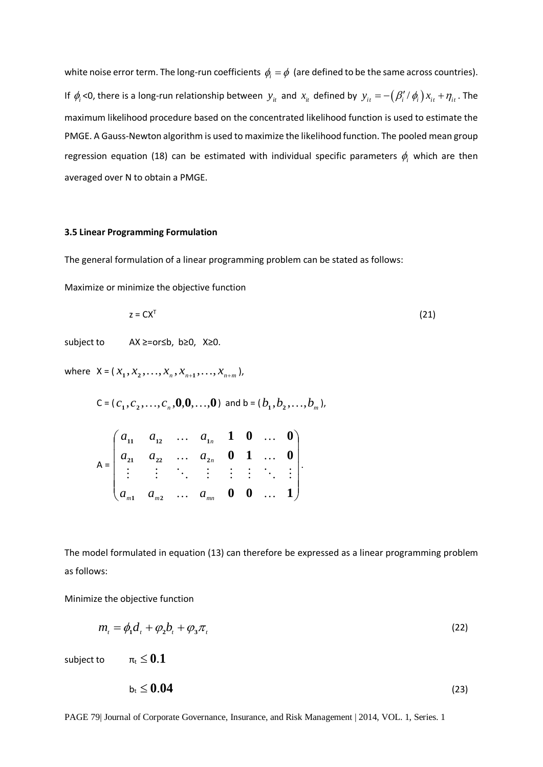white noise error term. The long-run coefficients  $\phi_i = \phi$  (are defined to be the same across countries). If  $\phi_i$  <0, there is a long-run relationship between  $y_i$  and  $x_i$  defined by  $y_i = -(\beta'_i / \phi_i)x_i + \eta_i$ . The maximum likelihood procedure based on the concentrated likelihood function is used to estimate the PMGE. A Gauss-Newton algorithm is used to maximize the likelihood function. The pooled mean group regression equation (18) can be estimated with individual specific parameters  $\phi_i$  which are then averaged over N to obtain a PMGE.

#### **3.5 Linear Programming Formulation**

The general formulation of a linear programming problem can be stated as follows:

Maximize or minimize the objective function

$$
z = CX^{T}
$$
 (21)

subject to AX ≥=or≤b, b≥0, X≥0.

where  $X = (x_1, x_2, \ldots, x_n, x_{n+1}, \ldots, x_{n+m})$ ,

$$
C = (c_1, c_2, \dots, c_n, \mathbf{0}, \mathbf{0}, \dots, \mathbf{0})
$$
 and  $b = (b_1, b_2, \dots, b_m)$ ,

$$
A = \begin{pmatrix} a_{11} & a_{12} & \cdots & a_{1n} & \mathbf{1} & \mathbf{0} & \cdots & \mathbf{0} \\ a_{21} & a_{22} & \cdots & a_{2n} & \mathbf{0} & \mathbf{1} & \cdots & \mathbf{0} \\ \vdots & \vdots & \ddots & \vdots & \vdots & \vdots & \ddots & \vdots \\ a_{m1} & a_{m2} & \cdots & a_{mn} & \mathbf{0} & \mathbf{0} & \cdots & \mathbf{1} \end{pmatrix}.
$$

The model formulated in equation (13) can therefore be expressed as a linear programming problem as follows:

Minimize the objective function

$$
m_{i} = \phi_{1}d_{i} + \phi_{2}b_{i} + \phi_{3}\pi_{i}
$$
\n
$$
(22)
$$

subject to  $\pi_t \leq 0.1$ 

$$
b_t \leq 0.04 \tag{23}
$$

PAGE 79| Journal of Corporate Governance, Insurance, and Risk Management | 2014, VOL. 1, Series. 1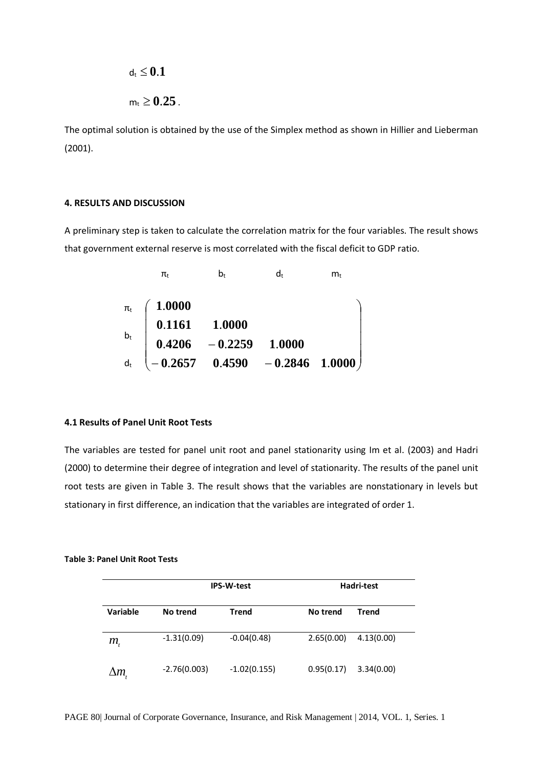$$
\begin{aligned} \mathsf{d_t} &\leq 0.1 \\ \mathsf{m_t} &\geq 0.25 \,. \end{aligned}
$$

The optimal solution is obtained by the use of the Simplex method as shown in Hillier and Lieberman (2001).

# **4. RESULTS AND DISCUSSION**

A preliminary step is taken to calculate the correlation matrix for the four variables. The result shows that government external reserve is most correlated with the fiscal deficit to GDP ratio.

|       | πŧ                | b+                       | $d_{t}$                                                             | m+ |
|-------|-------------------|--------------------------|---------------------------------------------------------------------|----|
|       | $\pi_{t}$ (1.0000 |                          |                                                                     |    |
|       | $0.1161$ 1.0000   |                          |                                                                     |    |
| $b_t$ |                   | $0.4206 - 0.2259 1.0000$ |                                                                     |    |
| $d_t$ |                   |                          | $\begin{pmatrix} -0.2657 & 0.4590 & -0.2846 & 1.0000 \end{pmatrix}$ |    |

#### **4.1 Results of Panel Unit Root Tests**

The variables are tested for panel unit root and panel stationarity using Im et al. (2003) and Hadri (2000) to determine their degree of integration and level of stationarity. The results of the panel unit root tests are given in Table 3. The result shows that the variables are nonstationary in levels but stationary in first difference, an indication that the variables are integrated of order 1.

# **Table 3: Panel Unit Root Tests**

|                            | <b>IPS-W-test</b> |                |            | Hadri-test |
|----------------------------|-------------------|----------------|------------|------------|
| <b>Variable</b>            | No trend          | Trend          | No trend   | Trend      |
| $m_{\scriptscriptstyle t}$ | $-1.31(0.09)$     | $-0.04(0.48)$  | 2.65(0.00) | 4.13(0.00) |
| $\Delta m$                 | $-2.76(0.003)$    | $-1.02(0.155)$ | 0.95(0.17) | 3.34(0.00) |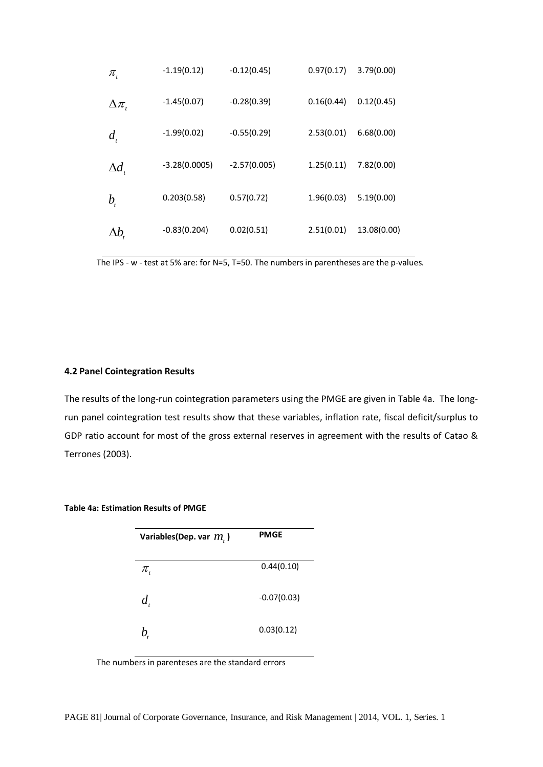| $\pi_{_t}$                 | $-1.19(0.12)$   | $-0.12(0.45)$  | 0.97(0.17) | 3.79(0.00)  |
|----------------------------|-----------------|----------------|------------|-------------|
| $\Delta \pi$               | $-1.45(0.07)$   | $-0.28(0.39)$  | 0.16(0.44) | 0.12(0.45)  |
| $d_{i}$                    | $-1.99(0.02)$   | $-0.55(0.29)$  | 2.53(0.01) | 6.68(0.00)  |
| $\Delta d_{\iota}$         | $-3.28(0.0005)$ | $-2.57(0.005)$ | 1.25(0.11) | 7.82(0.00)  |
| $b_{\scriptscriptstyle t}$ | 0.203(0.58)     | 0.57(0.72)     | 1.96(0.03) | 5.19(0.00)  |
| $\Delta b_{_{t}}$          | $-0.83(0.204)$  | 0.02(0.51)     | 2.51(0.01) | 13.08(0.00) |

The IPS - w - test at 5% are: for N=5, T=50. The numbers in parentheses are the p-values.

## **4.2 Panel Cointegration Results**

The results of the long-run cointegration parameters using the PMGE are given in Table 4a. The longrun panel cointegration test results show that these variables, inflation rate, fiscal deficit/surplus to GDP ratio account for most of the gross external reserves in agreement with the results of Catao & Terrones (2003).

# **Table 4a: Estimation Results of PMGE**

| Variables (Dep. var $mr$ )       | <b>PMGE</b>   |
|----------------------------------|---------------|
| $\pi_{\scriptscriptstyle\prime}$ | 0.44(0.10)    |
| $d_{i}$                          | $-0.07(0.03)$ |
|                                  | 0.03(0.12)    |

The numbers in parenteses are the standard errors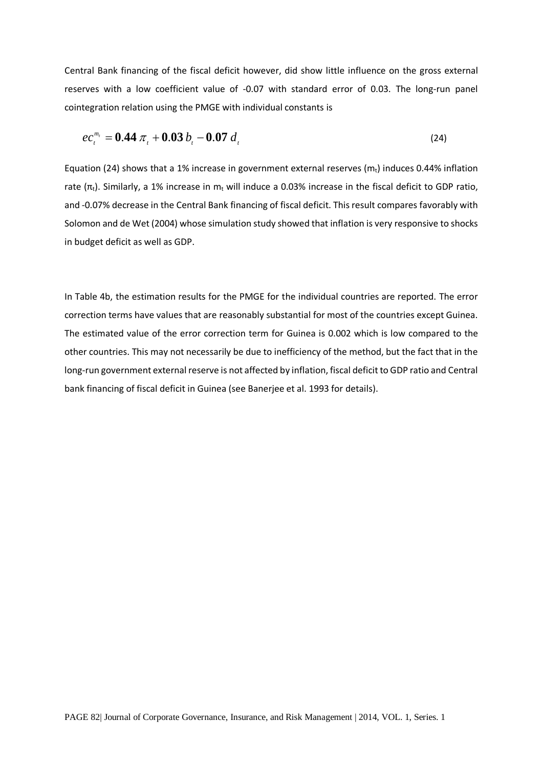Central Bank financing of the fiscal deficit however, did show little influence on the gross external reserves with a low coefficient value of -0.07 with standard error of 0.03. The long-run panel cointegration relation using the PMGE with individual constants is

$$
ec_i^{m_i} = 0.44 \pi_i + 0.03 b_i - 0.07 d_i \tag{24}
$$

Equation (24) shows that a 1% increase in government external reserves  $(m_t)$  induces 0.44% inflation rate (π<sub>t</sub>). Similarly, a 1% increase in m<sub>t</sub> will induce a 0.03% increase in the fiscal deficit to GDP ratio, and -0.07% decrease in the Central Bank financing of fiscal deficit. This result compares favorably with Solomon and de Wet (2004) whose simulation study showed that inflation is very responsive to shocks in budget deficit as well as GDP.

In Table 4b, the estimation results for the PMGE for the individual countries are reported. The error correction terms have values that are reasonably substantial for most of the countries except Guinea. The estimated value of the error correction term for Guinea is 0.002 which is low compared to the other countries. This may not necessarily be due to inefficiency of the method, but the fact that in the long-run government external reserve is not affected by inflation, fiscal deficit to GDP ratio and Central bank financing of fiscal deficit in Guinea (see Banerjee et al. 1993 for details).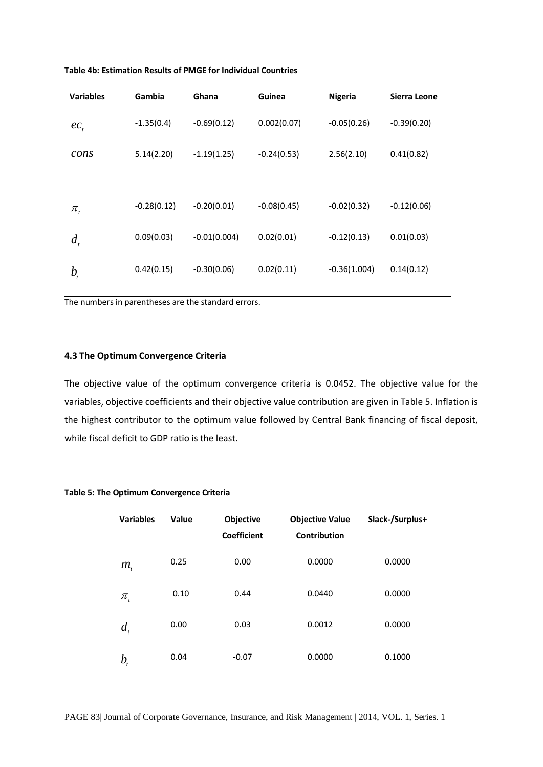| <b>Variables</b>           | Gambia        | Ghana          | Guinea        | <b>Nigeria</b> | Sierra Leone  |
|----------------------------|---------------|----------------|---------------|----------------|---------------|
| $ec_{i}$                   | $-1.35(0.4)$  | $-0.69(0.12)$  | 0.002(0.07)   | $-0.05(0.26)$  | $-0.39(0.20)$ |
| cons                       | 5.14(2.20)    | $-1.19(1.25)$  | $-0.24(0.53)$ | 2.56(2.10)     | 0.41(0.82)    |
|                            |               |                |               |                |               |
| $\pi_{_t}$                 | $-0.28(0.12)$ | $-0.20(0.01)$  | $-0.08(0.45)$ | $-0.02(0.32)$  | $-0.12(0.06)$ |
| $d_{\iota}$                | 0.09(0.03)    | $-0.01(0.004)$ | 0.02(0.01)    | $-0.12(0.13)$  | 0.01(0.03)    |
| $b_{\scriptscriptstyle t}$ | 0.42(0.15)    | $-0.30(0.06)$  | 0.02(0.11)    | $-0.36(1.004)$ | 0.14(0.12)    |

### **Table 4b: Estimation Results of PMGE for Individual Countries**

The numbers in parentheses are the standard errors.

# **4.3 The Optimum Convergence Criteria**

The objective value of the optimum convergence criteria is 0.0452. The objective value for the variables, objective coefficients and their objective value contribution are given in Table 5. Inflation is the highest contributor to the optimum value followed by Central Bank financing of fiscal deposit, while fiscal deficit to GDP ratio is the least.

# **Table 5: The Optimum Convergence Criteria**

| <b>Variables</b>              | Value | Objective          | <b>Objective Value</b> | Slack-/Surplus+ |
|-------------------------------|-------|--------------------|------------------------|-----------------|
|                               |       | <b>Coefficient</b> | Contribution           |                 |
| $m_{i}$                       | 0.25  | 0.00               | 0.0000                 | 0.0000          |
| $\pi_{\scriptscriptstyle{t}}$ | 0.10  | 0.44               | 0.0440                 | 0.0000          |
| $d_{i}$                       | 0.00  | 0.03               | 0.0012                 | 0.0000          |
| $b_{\scriptscriptstyle t}$    | 0.04  | $-0.07$            | 0.0000                 | 0.1000          |
|                               |       |                    |                        |                 |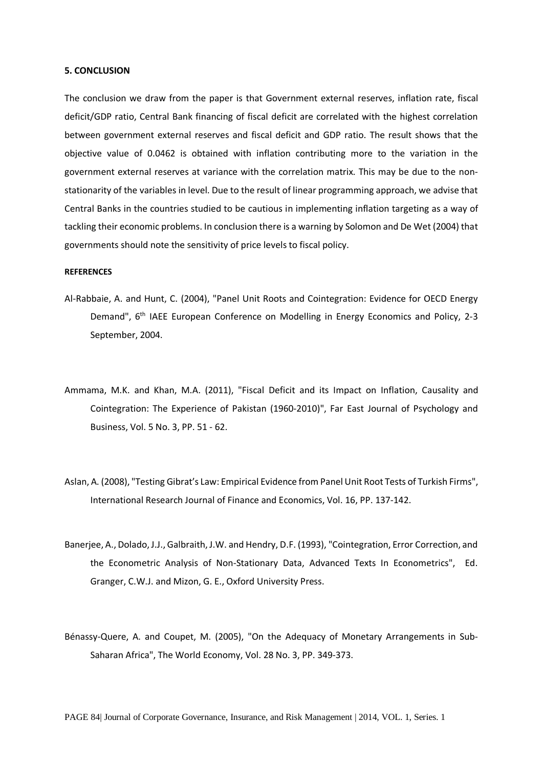#### **5. CONCLUSION**

The conclusion we draw from the paper is that Government external reserves, inflation rate, fiscal deficit/GDP ratio, Central Bank financing of fiscal deficit are correlated with the highest correlation between government external reserves and fiscal deficit and GDP ratio. The result shows that the objective value of 0.0462 is obtained with inflation contributing more to the variation in the government external reserves at variance with the correlation matrix. This may be due to the nonstationarity of the variables in level. Due to the result of linear programming approach, we advise that Central Banks in the countries studied to be cautious in implementing inflation targeting as a way of tackling their economic problems. In conclusion there is a warning by Solomon and De Wet (2004) that governments should note the sensitivity of price levels to fiscal policy.

#### **REFERENCES**

- Al-Rabbaie, A. and Hunt, C. (2004), "Panel Unit Roots and Cointegration: Evidence for OECD Energy Demand", 6<sup>th</sup> IAEE European Conference on Modelling in Energy Economics and Policy, 2-3 September, 2004.
- Ammama, M.K. and Khan, M.A. (2011), "Fiscal Deficit and its Impact on Inflation, Causality and Cointegration: The Experience of Pakistan (1960-2010)", Far East Journal of Psychology and Business, Vol. 5 No. 3, PP. 51 - 62.
- Aslan, A. (2008), "Testing Gibrat's Law: Empirical Evidence from Panel Unit Root Tests of Turkish Firms", International Research Journal of Finance and Economics, Vol. 16, PP. 137-142.
- Banerjee, A., Dolado, J.J., Galbraith, J.W. and Hendry, D.F. (1993), "Cointegration, Error Correction, and the Econometric Analysis of Non-Stationary Data, Advanced Texts In Econometrics", Ed. Granger, C.W.J. and Mizon, G. E., Oxford University Press.
- Bénassy-Quere, A. and Coupet, M. (2005), "On the Adequacy of Monetary Arrangements in Sub-Saharan Africa", The World Economy, Vol. 28 No. 3, PP. 349-373.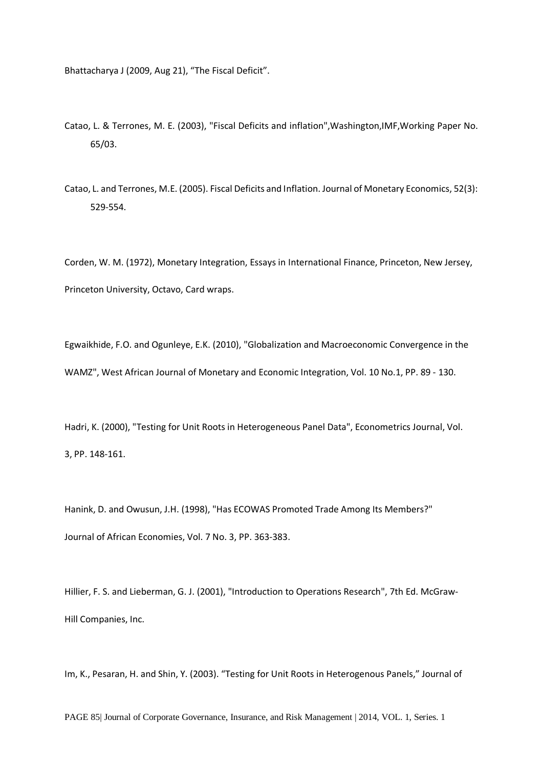Bhattacharya J (2009, Aug 21), "The Fiscal Deficit".

- Catao, L. & Terrones, M. E. (2003), "Fiscal Deficits and inflation",Washington,IMF,Working Paper No. 65/03.
- Catao, L. and Terrones, M.E. (2005). Fiscal Deficits and Inflation. Journal of Monetary Economics, 52(3): 529-554.

Corden, W. M. (1972), Monetary Integration, Essays in International Finance, Princeton, New Jersey, Princeton University, Octavo, Card wraps.

Egwaikhide, F.O. and Ogunleye, E.K. (2010), "Globalization and Macroeconomic Convergence in the WAMZ", West African Journal of Monetary and Economic Integration, Vol. 10 No.1, PP. 89 - 130.

Hadri, K. (2000), "Testing for Unit Roots in Heterogeneous Panel Data", Econometrics Journal, Vol. 3, PP. 148-161.

Hanink, D. and Owusun, J.H. (1998), "Has ECOWAS Promoted Trade Among Its Members?" Journal of African Economies, Vol. 7 No. 3, PP. 363-383.

Hillier, F. S. and Lieberman, G. J. (2001), "Introduction to Operations Research", 7th Ed. McGraw-Hill Companies, Inc.

Im, K., Pesaran, H. and Shin, Y. (2003). "Testing for Unit Roots in Heterogenous Panels," Journal of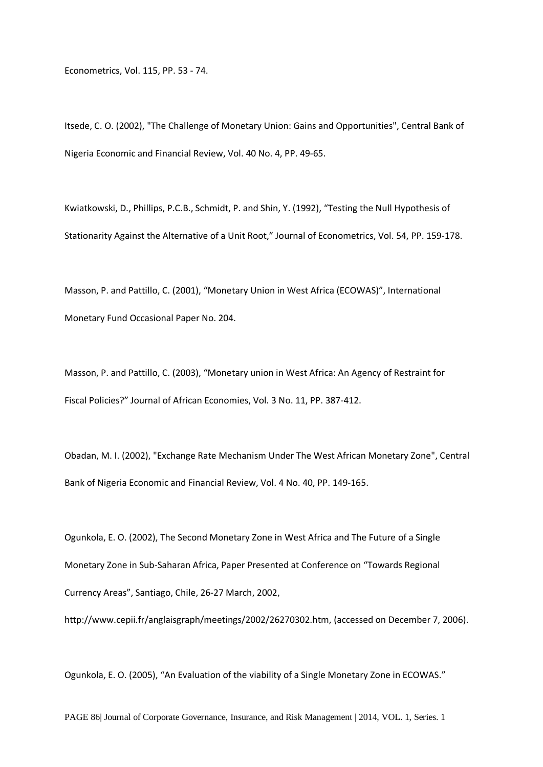Econometrics, Vol. 115, PP. 53 - 74.

Itsede, C. O. (2002), "The Challenge of Monetary Union: Gains and Opportunities", Central Bank of Nigeria Economic and Financial Review, Vol. 40 No. 4, PP. 49-65.

Kwiatkowski, D., Phillips, P.C.B., Schmidt, P. and Shin, Y. (1992), "Testing the Null Hypothesis of Stationarity Against the Alternative of a Unit Root," Journal of Econometrics, Vol. 54, PP. 159-178.

Masson, P. and Pattillo, C. (2001), "Monetary Union in West Africa (ECOWAS)", International Monetary Fund Occasional Paper No. 204.

Masson, P. and Pattillo, C. (2003), "Monetary union in West Africa: An Agency of Restraint for Fiscal Policies?" Journal of African Economies, Vol. 3 No. 11, PP. 387-412.

Obadan, M. I. (2002), "Exchange Rate Mechanism Under The West African Monetary Zone", Central Bank of Nigeria Economic and Financial Review, Vol. 4 No. 40, PP. 149-165.

Ogunkola, E. O. (2002), The Second Monetary Zone in West Africa and The Future of a Single Monetary Zone in Sub-Saharan Africa, Paper Presented at Conference on "Towards Regional Currency Areas", Santiago, Chile, 26-27 March, 2002,

[http://www.cepii.fr/anglaisgraph/meetings/2002/26270302.htm,](http://www.cepii.fr/anglaisgraph/meetings/2002/26270302.htm) (accessed on December 7, 2006).

Ogunkola, E. O. (2005), "An Evaluation of the viability of a Single Monetary Zone in ECOWAS."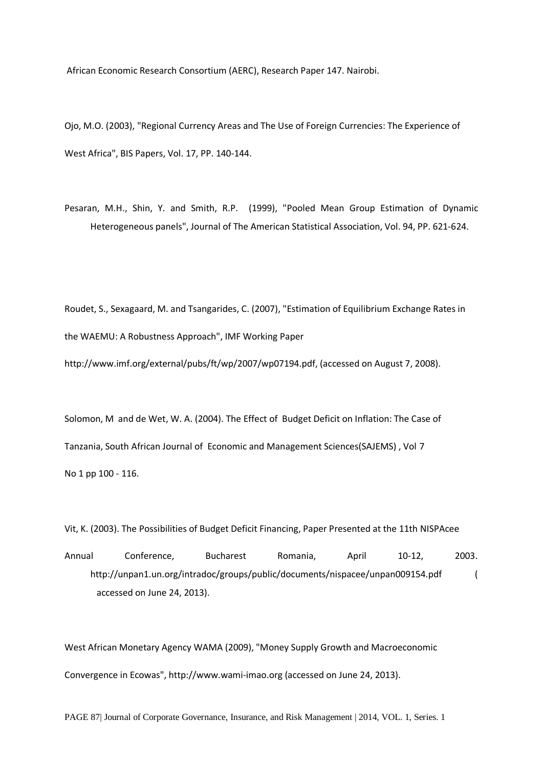African Economic Research Consortium (AERC), Research Paper 147. Nairobi.

Ojo, M.O. (2003), "Regional Currency Areas and The Use of Foreign Currencies: The Experience of West Africa", BIS Papers, Vol. 17, PP. 140-144.

Pesaran, M.H., Shin, Y. and Smith, R.P. (1999), "Pooled Mean Group Estimation of Dynamic Heterogeneous panels", Journal of The American Statistical Association, Vol. 94, PP. 621-624.

Roudet, S., Sexagaard, M. and Tsangarides, C. (2007), "Estimation of Equilibrium Exchange Rates in the WAEMU: A Robustness Approach", IMF Working Paper http://www.imf.org/external/pubs/ft/wp/2007/wp07194.pdf, (accessed on August 7, 2008).

Solomon, M and de Wet, W. A. (2004). The Effect of Budget Deficit on Inflation: The Case of Tanzania, South African Journal of Economic and Management Sciences(SAJEMS) , Vol 7 No 1 pp 100 - 116.

Vit, K. (2003). The Possibilities of Budget Deficit Financing, Paper Presented at the 11th NISPAcee Annual Conference, Bucharest Romania, April 10-12, 2003. http://unpan1.un.org/intradoc/groups/public/documents/nispacee/unpan009154.pdf ( accessed on June 24, 2013).

West African Monetary Agency WAMA (2009), "Money Supply Growth and Macroeconomic Convergence in Ecowas", http://www.wami-imao.org (accessed on June 24, 2013).